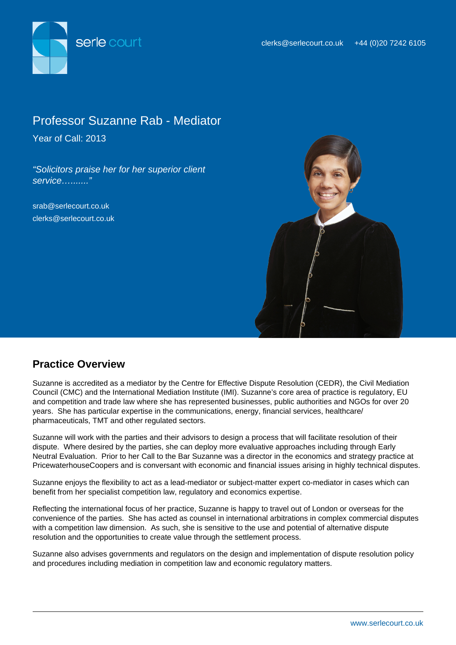

# Professor Suzanne Rab - Mediator

Year of Call: 2013

"Solicitors praise her for her superior client service…......."

srab@serlecourt.co.uk clerks@serlecourt.co.uk



## **Practice Overview**

Suzanne is accredited as a mediator by the Centre for Effective Dispute Resolution (CEDR), the Civil Mediation Council (CMC) and the International Mediation Institute (IMI). Suzanne's core area of practice is regulatory, EU and competition and trade law where she has represented businesses, public authorities and NGOs for over 20 years. She has particular expertise in the communications, energy, financial services, healthcare/ pharmaceuticals, TMT and other regulated sectors.

Suzanne will work with the parties and their advisors to design a process that will facilitate resolution of their dispute. Where desired by the parties, she can deploy more evaluative approaches including through Early Neutral Evaluation. Prior to her Call to the Bar Suzanne was a director in the economics and strategy practice at PricewaterhouseCoopers and is conversant with economic and financial issues arising in highly technical disputes.

Suzanne enjoys the flexibility to act as a lead-mediator or subject-matter expert co-mediator in cases which can benefit from her specialist competition law, regulatory and economics expertise.

Reflecting the international focus of her practice, Suzanne is happy to travel out of London or overseas for the convenience of the parties. She has acted as counsel in international arbitrations in complex commercial disputes with a competition law dimension. As such, she is sensitive to the use and potential of alternative dispute resolution and the opportunities to create value through the settlement process.

Suzanne also advises governments and regulators on the design and implementation of dispute resolution policy and procedures including mediation in competition law and economic regulatory matters.